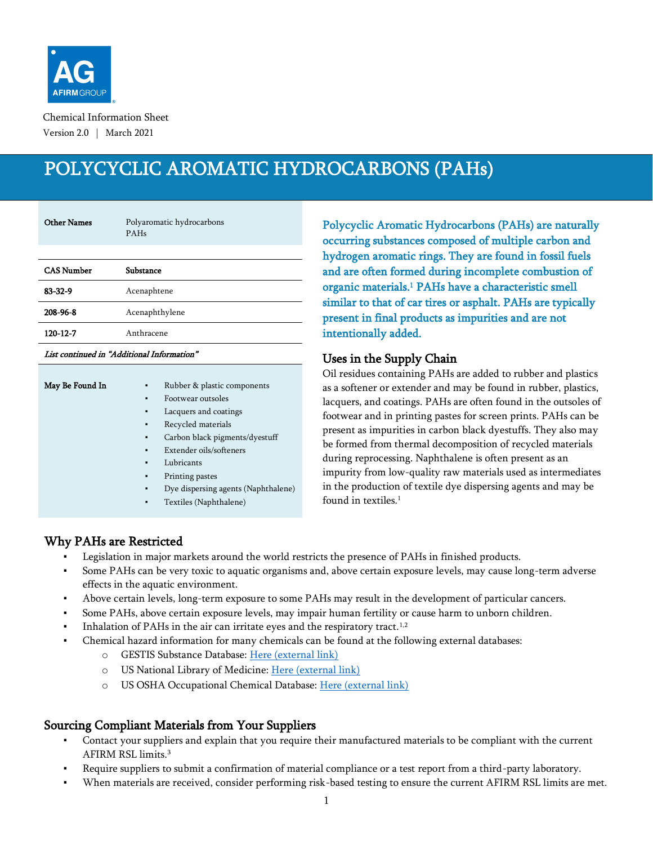

Chemical Information Sheet Version 2.0 | March 2021

# POLYCYCLIC AROMATIC HYDROCARBONS (PAHs)

| <b>Other Names</b> | Polyaromatic hydrocarbons<br>PAHs |  |
|--------------------|-----------------------------------|--|
|                    |                                   |  |
| <b>CAS Number</b>  | Substance                         |  |
| $83 - 32 - 9$      | Acenaphtene                       |  |
| 208-96-8           | Acenaphthylene                    |  |
| 120-12-7           | Anthracene                        |  |

#### List continued in "Additional Information"

| May Be Found In | ٠              | Rubber & plastic components         |
|-----------------|----------------|-------------------------------------|
|                 | $\blacksquare$ | Footwear outsoles                   |
|                 | ٠              | Lacquers and coatings               |
|                 | ٠              | Recycled materials                  |
|                 | ٠              | Carbon black pigments/dyestuff      |
|                 | ٠              | Extender oils/softeners             |
|                 | ٠              | Lubricants                          |
|                 | ٠              | Printing pastes                     |
|                 | ٠              | Dye dispersing agents (Naphthalene) |
|                 | ٠              | Textiles (Naphthalene)              |
|                 |                |                                     |

<span id="page-0-0"></span>Polycyclic Aromatic Hydrocarbons (PAHs) are naturally occurring substances composed of multiple carbon and hydrogen aromatic rings. They are found in fossil fuels and are often formed during incomplete combustion of organic materials.<sup>1</sup> PAHs have a characteristic smell similar to that of car tires or asphalt. PAHs are typically present in final products as impurities and are not intentionally added.

#### Uses in the Supply Chain

Oil residues containing PAHs are added to rubber and plastics as a softener or extender and may be found in rubber, plastics, lacquers, and coatings. PAHs are often found in the outsoles of footwear and in printing pastes for screen prints. PAHs can be present as impurities in carbon black dyestuffs. They also may be formed from thermal decomposition of recycled materials during reprocessing. Naphthalene is often present as an impurity from low-quality raw materials used as intermediates in the production of textile dye dispersing agents and may be found in textiles[.](#page-0-0)<sup>1</sup>

## Why PAHs are Restricted

- Legislation in major markets around the world restricts the presence of PAHs in finished products.
- Some PAHs can be very toxic to aquatic organisms and, above certain exposure levels, may cause long-term adverse effects in the aquatic environment.
- Above certain levels, long-term exposure to some PAHs may result in the development of particular cancers.
- Some PAHs, above certain exposure levels, may impair human fertility or cause harm to unborn children.
- **•** Inhalation of PAHs in the air can irritate eyes and the respiratory tract.<sup>[1,2](#page-0-0)</sup>
- Chemical hazard information for many chemicals can be found at the following external databases:
	- o GESTIS Substance Database: [Here \(external link\)](https://gestis-database.dguv.de/search)
	- o US National Library of Medicine[: Here \(external link\)](https://pubchem.ncbi.nlm.nih.gov/)
	- o US OSHA Occupational Chemical Database: [Here \(external link\)](https://www.osha.gov/chemicaldata/index.html)

## Sourcing Compliant Materials from Your Suppliers

- Contact your suppliers and explain that you require their manufactured materials to be compliant with the current AFIRM RSL limits. 3
- Require suppliers to submit a confirmation of material compliance or a test report from a third-party laboratory.
- When materials are received, consider performing risk-based testing to ensure the current AFIRM RSL limits are met.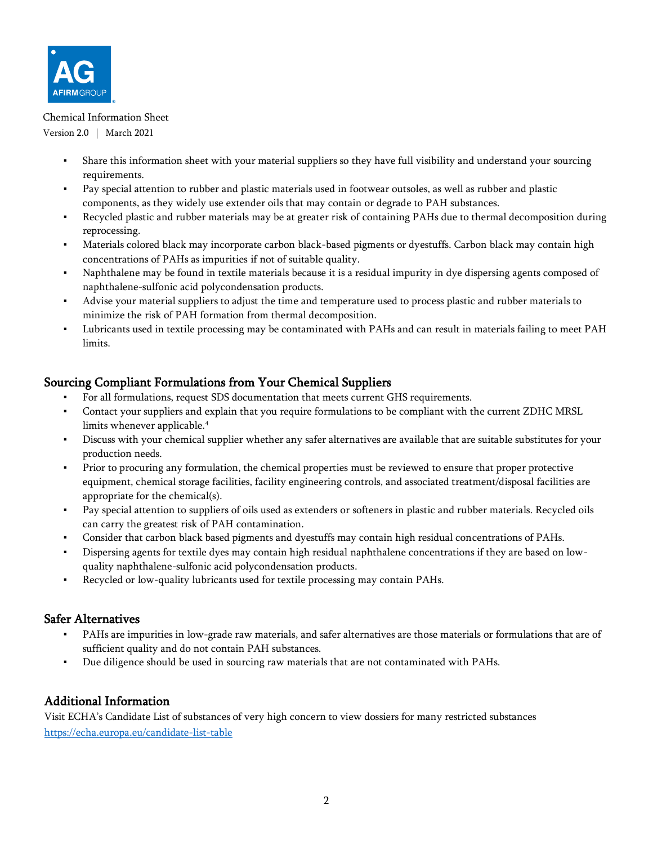

#### Chemical Information Sheet

Version 2.0 | March 2021

- Share this information sheet with your material suppliers so they have full visibility and understand your sourcing requirements.
- Pay special attention to rubber and plastic materials used in footwear outsoles, as well as rubber and plastic components, as they widely use extender oils that may contain or degrade to PAH substances.
- Recycled plastic and rubber materials may be at greater risk of containing PAHs due to thermal decomposition during reprocessing.
- Materials colored black may incorporate carbon black-based pigments or dyestuffs. Carbon black may contain high concentrations of PAHs as impurities if not of suitable quality.
- Naphthalene may be found in textile materials because it is a residual impurity in dye dispersing agents composed of naphthalene-sulfonic acid polycondensation products.
- Advise your material suppliers to adjust the time and temperature used to process plastic and rubber materials to minimize the risk of PAH formation from thermal decomposition.
- Lubricants used in textile processing may be contaminated with PAHs and can result in materials failing to meet PAH limits.

## Sourcing Compliant Formulations from Your Chemical Suppliers

- For all formulations, request SDS documentation that meets current GHS requirements.
- Contact your suppliers and explain that you require formulations to be compliant with the current ZDHC MRSL limits whenever applicable.<sup>4</sup>
- Discuss with your chemical supplier whether any safer alternatives are available that are suitable substitutes for your production needs.
- Prior to procuring any formulation, the chemical properties must be reviewed to ensure that proper protective equipment, chemical storage facilities, facility engineering controls, and associated treatment/disposal facilities are appropriate for the chemical(s).
- Pay special attention to suppliers of oils used as extenders or softeners in plastic and rubber materials. Recycled oils can carry the greatest risk of PAH contamination.
- Consider that carbon black based pigments and dyestuffs may contain high residual concentrations of PAHs.
- Dispersing agents for textile dyes may contain high residual naphthalene concentrations if they are based on lowquality naphthalene-sulfonic acid polycondensation products.
- Recycled or low-quality lubricants used for textile processing may contain PAHs.

#### Safer Alternatives

- PAHs are impurities in low-grade raw materials, and safer alternatives are those materials or formulations that are of sufficient quality and do not contain PAH substances.
- Due diligence should be used in sourcing raw materials that are not contaminated with PAHs.

## Additional Information

Visit ECHA's Candidate List of substances of very high concern to view dossiers for many restricted substances <https://echa.europa.eu/candidate-list-table>